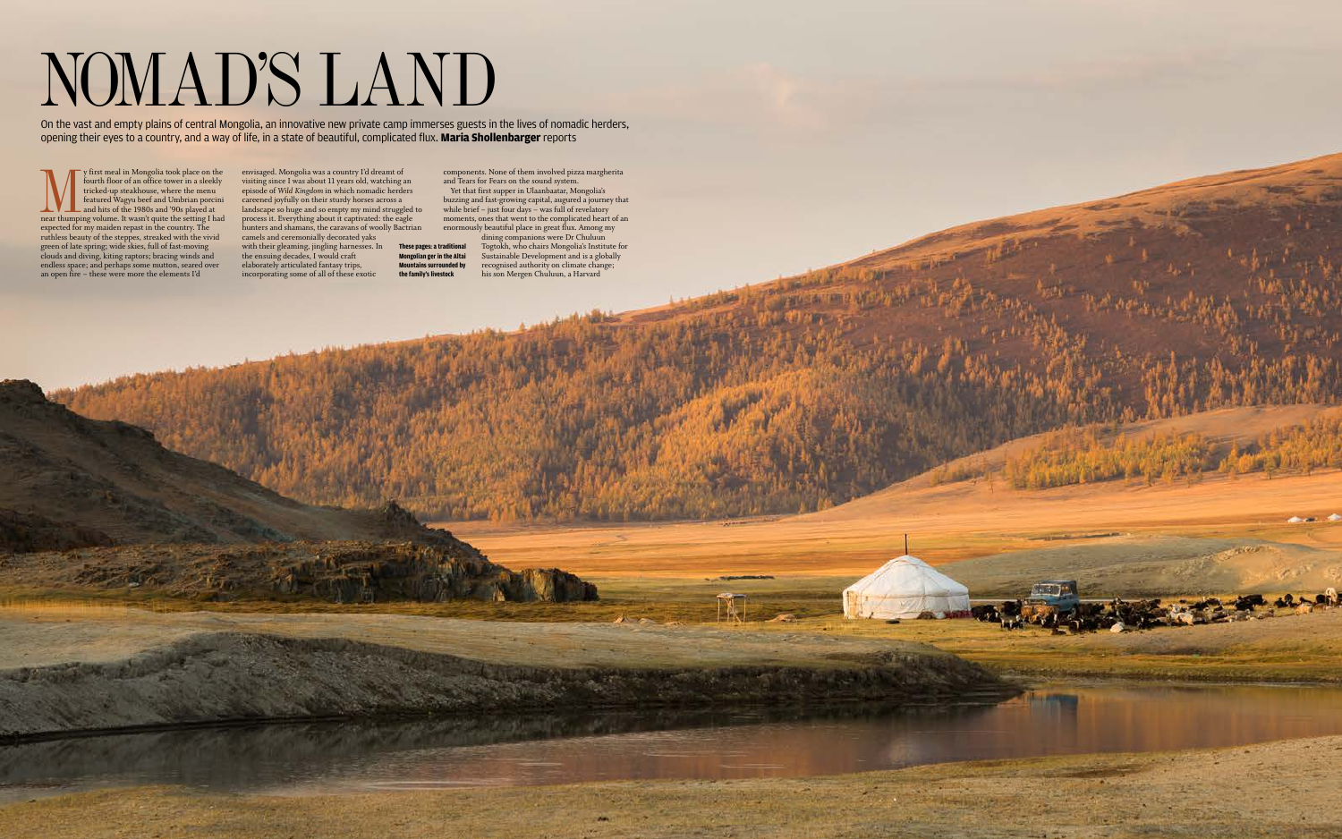## NOMAD'S LAND

On the vast and empty plains of central Mongolia, an innovative new private camp immerses guests in the lives of nomadic herders, opening their eyes to a country, and a way of life, in a state of beautiful, complicated flux. **Maria Shollenbarger** reports

y first meal in Mongolia took place on the fourth floor of an office tower in a sleekly tricked-up steakhouse, where the menu featured Wagyu beef and Umbrian porcini and hits of the 1980s and '90s played at near thumping v y first meal in Mongolia took place on the fourth floor of an office tower in a sleekly tricked-up steakhouse, where the menu featured Wagyu beef and Umbrian porcini and hits of the 1980s and '90s played at near thumping volume. It wasn't quite the setting I had expected for my maiden repast in the country. The ruthless beauty of the steppes, streaked with the vivid green of late spring; wide skies, full of fast-moving clouds and diving, kiting raptors; bracing winds and endless space; and perhaps some mutton, seared over an open fire – these were more the elements I'd

components. None of them involved pizza margherita and Tears for Fears on the sound system.

envisaged. Mongolia was a country I'd dreamt of visiting since I was about 11 years old, watching an episode of *Wild Kingdom* in which nomadic herders careened joyfully on their sturdy horses across a landscape so huge and so empty my mind struggled to process it. Everything about it captivated: the eagle hunters and shamans, the caravans of woolly Bactrian camels and ceremonially decorated yaks with their gleaming, jingling harnesses. In the ensuing decades, I would craft elaborately articulated fantasy trips, incorporating some of all of these exotic **These pages: a traditional Mongolian ger in the Altai Mountains surrounded by the family's livestock** 

Yet that first supper in Ulaanbaatar, Mongolia's buzzing and fast-growing capital, augured a journey that while brief – just four days – was full of revelatory moments, ones that went to the complicated heart of an enormously beautiful place in great flux. Among my

dining companions were Dr Chuluun Togtokh, who chairs Mongolia's Institute for Sustainable Development and is a globally recognised authority on climate change; his son Mergen Chuluun, a Harvard

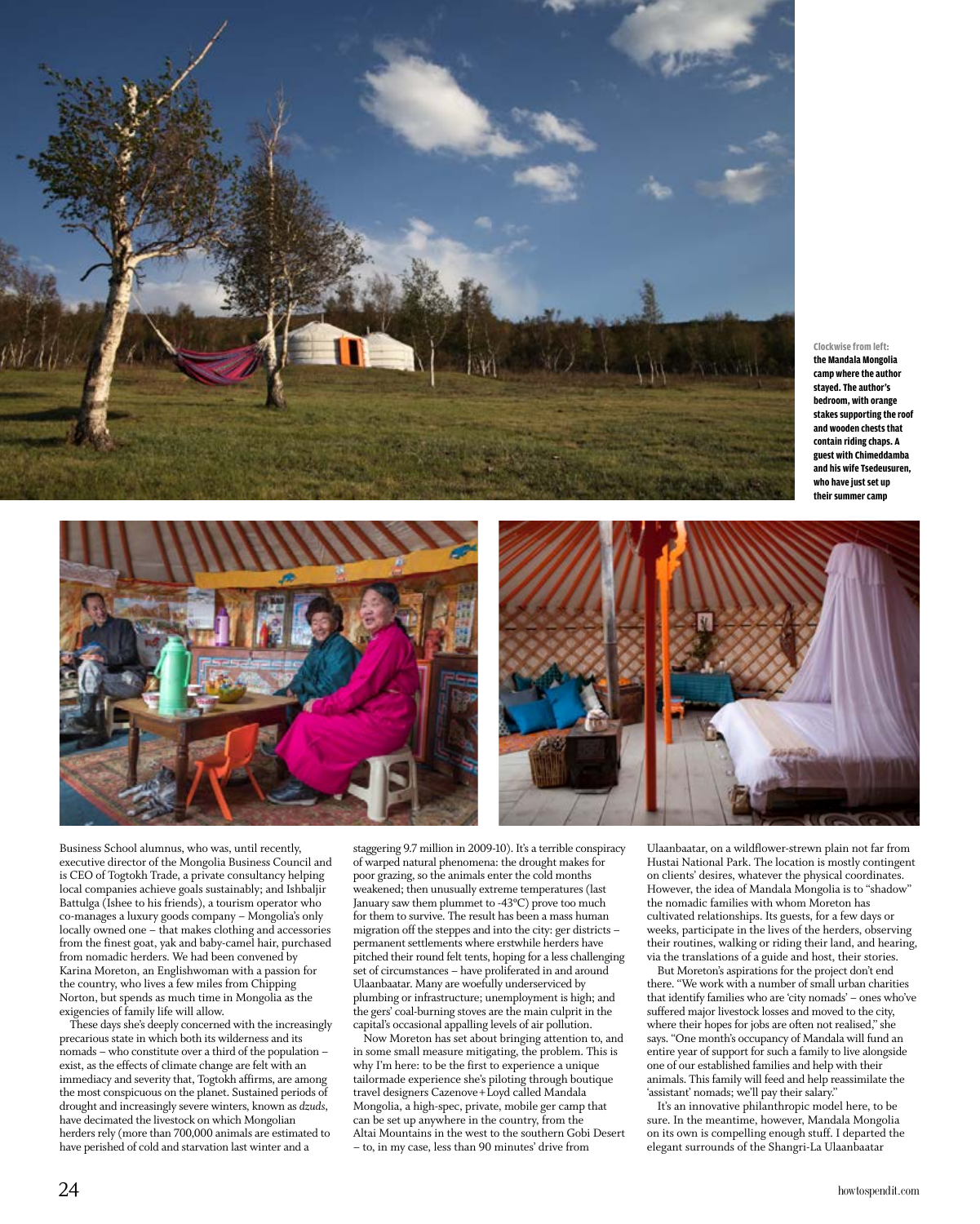

**Clockwise from left: the Mandala Mongolia camp where the author stayed. The author's bedroom, with orange stakes supporting the roof and wooden chests that contain riding chaps. A guest with Chimeddamba and his wife Tsedeusuren, who have just set up their summer camp** 





Business School alumnus, who was, until recently, executive director of the Mongolia Business Council and is CEO of Togtokh Trade, a private consultancy helping local companies achieve goals sustainably; and Ishbaljir Battulga (Ishee to his friends), a tourism operator who co-manages a luxury goods company – Mongolia's only locally owned one – that makes clothing and accessories from the finest goat, yak and baby-camel hair, purchased from nomadic herders. We had been convened by Karina Moreton, an Englishwoman with a passion for the country, who lives a few miles from Chipping Norton, but spends as much time in Mongolia as the exigencies of family life will allow.

These days she's deeply concerned with the increasingly precarious state in which both its wilderness and its nomads – who constitute over a third of the population – exist, as the effects of climate change are felt with an immediacy and severity that, Togtokh affirms, are among the most conspicuous on the planet. Sustained periods of drought and increasingly severe winters, known as *dzuds*, have decimated the livestock on which Mongolian herders rely (more than 700,000 animals are estimated to have perished of cold and starvation last winter and a

staggering 9.7 million in 2009-10). It's a terrible conspiracy of warped natural phenomena: the drought makes for poor grazing, so the animals enter the cold months weakened; then unusually extreme temperatures (last January saw them plummet to -43ºC) prove too much for them to survive. The result has been a mass human migration off the steppes and into the city: ger districts – permanent settlements where erstwhile herders have pitched their round felt tents, hoping for a less challenging set of circumstances – have proliferated in and around Ulaanbaatar. Many are woefully underserviced by plumbing or infrastructure; unemployment is high; and the gers' coal-burning stoves are the main culprit in the capital's occasional appalling levels of air pollution.

Now Moreton has set about bringing attention to, and in some small measure mitigating, the problem. This is why I'm here: to be the first to experience a unique tailormade experience she's piloting through boutique travel designers Cazenove+Loyd called Mandala Mongolia, a high-spec, private, mobile ger camp that can be set up anywhere in the country, from the Altai Mountains in the west to the southern Gobi Desert – to, in my case, less than 90 minutes' drive from

Ulaanbaatar, on a wildflower-strewn plain not far from Hustai National Park. The location is mostly contingent on clients' desires, whatever the physical coordinates. However, the idea of Mandala Mongolia is to "shadow" the nomadic families with whom Moreton has cultivated relationships. Its guests, for a few days or weeks, participate in the lives of the herders, observing their routines, walking or riding their land, and hearing, via the translations of a guide and host, their stories.

But Moreton's aspirations for the project don't end there. "We work with a number of small urban charities that identify families who are 'city nomads' – ones who've suffered major livestock losses and moved to the city, where their hopes for jobs are often not realised," she says. "One month's occupancy of Mandala will fund an entire year of support for such a family to live alongside one of our established families and help with their animals. This family will feed and help reassimilate the 'assistant' nomads; we'll pay their salary."

It's an innovative philanthropic model here, to be sure. In the meantime, however, Mandala Mongolia on its own is compelling enough stuff. I departed the elegant surrounds of the Shangri-La Ulaanbaatar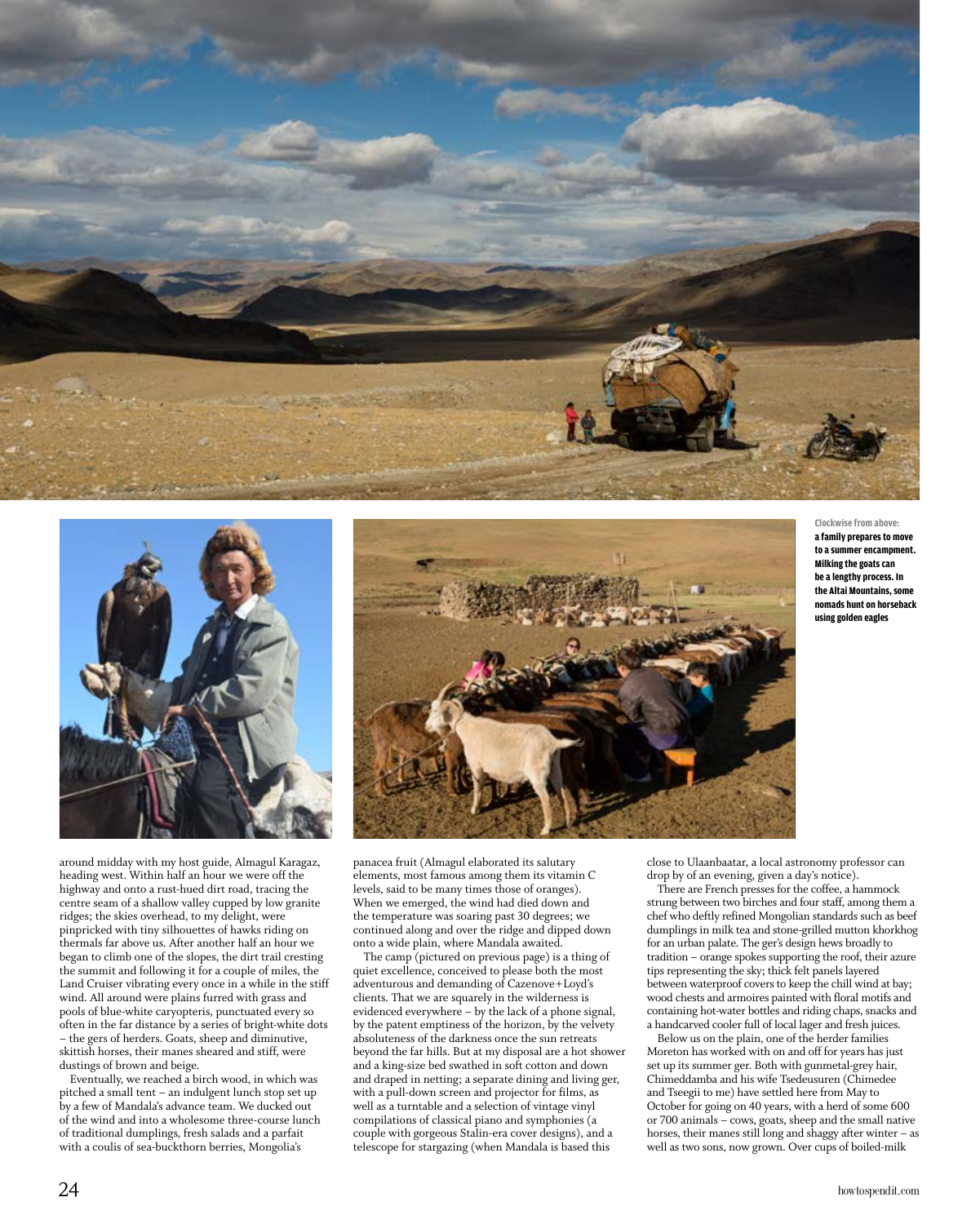



around midday with my host guide, Almagul Karagaz, heading west. Within half an hour we were off the highway and onto a rust-hued dirt road, tracing the centre seam of a shallow valley cupped by low granite ridges; the skies overhead, to my delight, were pinpricked with tiny silhouettes of hawks riding on thermals far above us. After another half an hour we began to climb one of the slopes, the dirt trail cresting the summit and following it for a couple of miles, the Land Cruiser vibrating every once in a while in the stiff wind. All around were plains furred with grass and pools of blue-white caryopteris, punctuated every so often in the far distance by a series of bright-white dots – the gers of herders. Goats, sheep and diminutive, skittish horses, their manes sheared and stiff, were dustings of brown and beige.

Eventually, we reached a birch wood, in which was pitched a small tent – an indulgent lunch stop set up by a few of Mandala's advance team. We ducked out of the wind and into a wholesome three-course lunch of traditional dumplings, fresh salads and a parfait with a coulis of sea-buckthorn berries, Mongolia's



panacea fruit (Almagul elaborated its salutary elements, most famous among them its vitamin C levels, said to be many times those of oranges). When we emerged, the wind had died down and the temperature was soaring past 30 degrees; we continued along and over the ridge and dipped down onto a wide plain, where Mandala awaited.

The camp (pictured on previous page) is a thing of quiet excellence, conceived to please both the most adventurous and demanding of Cazenove+Loyd's clients. That we are squarely in the wilderness is evidenced everywhere – by the lack of a phone signal, by the patent emptiness of the horizon, by the velvety absoluteness of the darkness once the sun retreats beyond the far hills. But at my disposal are a hot shower and a king-size bed swathed in soft cotton and down and draped in netting; a separate dining and living ger, with a pull-down screen and projector for films, as well as a turntable and a selection of vintage vinyl compilations of classical piano and symphonies (a couple with gorgeous Stalin-era cover designs), and a telescope for stargazing (when Mandala is based this

**Clockwise from above: a family prepares to move to a summer encampment. Milking the goats can be a lengthy process. In the Altai Mountains, some nomads hunt on horseback using golden eagles** 

close to Ulaanbaatar, a local astronomy professor can drop by of an evening, given a day's notice).

There are French presses for the coffee, a hammock strung between two birches and four staff, among them a chef who deftly refined Mongolian standards such as beef dumplings in milk tea and stone-grilled mutton khorkhog for an urban palate. The ger's design hews broadly to tradition – orange spokes supporting the roof, their azure tips representing the sky; thick felt panels layered between waterproof covers to keep the chill wind at bay; wood chests and armoires painted with floral motifs and containing hot-water bottles and riding chaps, snacks and a handcarved cooler full of local lager and fresh juices.

Below us on the plain, one of the herder families Moreton has worked with on and off for years has just set up its summer ger. Both with gunmetal-grey hair, Chimeddamba and his wife Tsedeusuren (Chimedee and Tseegii to me) have settled here from May to October for going on 40 years, with a herd of some 600 or 700 animals – cows, goats, sheep and the small native horses, their manes still long and shaggy after winter – as well as two sons, now grown. Over cups of boiled-milk